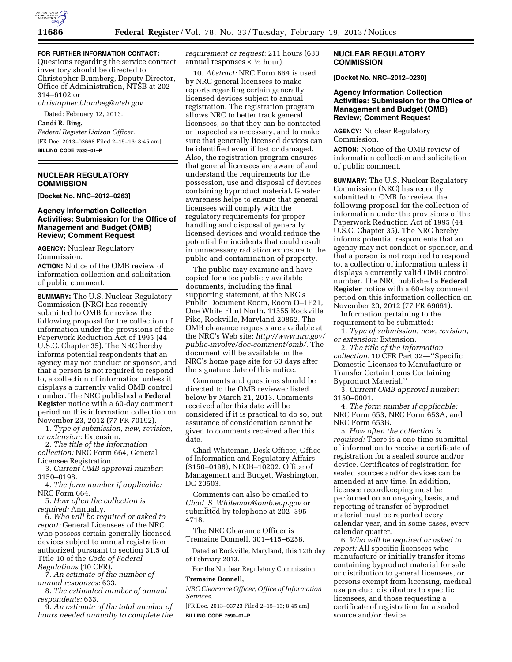

# **FOR FURTHER INFORMATION CONTACT:**

Questions regarding the service contract inventory should be directed to Christopher Blumberg, Deputy Director, Office of Administration, NTSB at 202– 314–6102 or

*[christopher.blumbeg@ntsb.gov](mailto:christopher.blumbeg@ntsb.gov)*.

Dated: February 12, 2013.

### **Candi R. Bing,**

*Federal Register Liaison Officer.*  [FR Doc. 2013–03668 Filed 2–15–13; 8:45 am] **BILLING CODE 7533–01–P** 

## **NUCLEAR REGULATORY COMMISSION**

**[Docket No. NRC–2012–0263]** 

#### **Agency Information Collection Activities: Submission for the Office of Management and Budget (OMB) Review; Comment Request**

**AGENCY:** Nuclear Regulatory Commission.

**ACTION:** Notice of the OMB review of information collection and solicitation of public comment.

**SUMMARY:** The U.S. Nuclear Regulatory Commission (NRC) has recently submitted to OMB for review the following proposal for the collection of information under the provisions of the Paperwork Reduction Act of 1995 (44 U.S.C. Chapter 35). The NRC hereby informs potential respondents that an agency may not conduct or sponsor, and that a person is not required to respond to, a collection of information unless it displays a currently valid OMB control number. The NRC published a **Federal Register** notice with a 60-day comment period on this information collection on November 23, 2012 (77 FR 70192).

1. *Type of submission, new, revision, or extension:* Extension.

2. *The title of the information collection:* NRC Form 664, General Licensee Registration.

3. *Current OMB approval number:*  3150–0198.

4. *The form number if applicable:*  NRC Form 664.

5. *How often the collection is required:* Annually.

6. *Who will be required or asked to report:* General Licensees of the NRC who possess certain generally licensed devices subject to annual registration authorized pursuant to section 31.5 of Title 10 of the *Code of Federal Regulations* (10 CFR).

7. *An estimate of the number of annual responses:* 633.

8. *The estimated number of annual respondents:* 633.

9. *An estimate of the total number of hours needed annually to complete the* 

*requirement or request:* 211 hours (633 annual responses  $\times \frac{1}{3}$  hour).

10. *Abstract:* NRC Form 664 is used by NRC general licensees to make reports regarding certain generally licensed devices subject to annual registration. The registration program allows NRC to better track general licensees, so that they can be contacted or inspected as necessary, and to make sure that generally licensed devices can be identified even if lost or damaged. Also, the registration program ensures that general licensees are aware of and understand the requirements for the possession, use and disposal of devices containing byproduct material. Greater awareness helps to ensure that general licensees will comply with the regulatory requirements for proper handling and disposal of generally licensed devices and would reduce the potential for incidents that could result in unnecessary radiation exposure to the public and contamination of property.

The public may examine and have copied for a fee publicly available documents, including the final supporting statement, at the NRC's Public Document Room, Room O–1F21, One White Flint North, 11555 Rockville Pike, Rockville, Maryland 20852. The OMB clearance requests are available at the NRC's Web site: *[http://www.nrc.gov/](http://www.nrc.gov/public-involve/doc-comment/omb/) [public-involve/doc-comment/omb/.](http://www.nrc.gov/public-involve/doc-comment/omb/)* The document will be available on the NRC's home page site for 60 days after the signature date of this notice.

Comments and questions should be directed to the OMB reviewer listed below by March 21, 2013. Comments received after this date will be considered if it is practical to do so, but assurance of consideration cannot be given to comments received after this date.

Chad Whiteman, Desk Officer, Office of Information and Regulatory Affairs (3150–0198), NEOB–10202, Office of Management and Budget, Washington, DC 20503.

Comments can also be emailed to *Chad*\_*S*\_*[Whiteman@omb.eop.gov](mailto:Chad_S_Whiteman@omb.eop.gov)* or submitted by telephone at 202–395– 4718.

The NRC Clearance Officer is Tremaine Donnell, 301–415–6258.

Dated at Rockville, Maryland, this 12th day of February 2013.

For the Nuclear Regulatory Commission. **Tremaine Donnell,** 

*NRC Clearance Officer, Office of Information Services.* 

[FR Doc. 2013–03723 Filed 2–15–13; 8:45 am] **BILLING CODE 7590–01–P** 

#### **NUCLEAR REGULATORY COMMISSION**

**[Docket No. NRC–2012–0230]** 

#### **Agency Information Collection Activities: Submission for the Office of Management and Budget (OMB) Review; Comment Request**

**AGENCY:** Nuclear Regulatory Commission.

**ACTION:** Notice of the OMB review of information collection and solicitation of public comment.

**SUMMARY:** The U.S. Nuclear Regulatory Commission (NRC) has recently submitted to OMB for review the following proposal for the collection of information under the provisions of the Paperwork Reduction Act of 1995 (44 U.S.C. Chapter 35). The NRC hereby informs potential respondents that an agency may not conduct or sponsor, and that a person is not required to respond to, a collection of information unless it displays a currently valid OMB control number. The NRC published a **Federal Register** notice with a 60-day comment period on this information collection on November 20, 2012 (77 FR 69661).

Information pertaining to the requirement to be submitted:

1. *Type of submission, new, revision, or extension:* Extension.

2. *The title of the information collection:* 10 CFR Part 32—''Specific Domestic Licenses to Manufacture or Transfer Certain Items Containing Byproduct Material.''

3. *Current OMB approval number:*  3150–0001.

4. *The form number if applicable:*  NRC Form 653, NRC Form 653A, and NRC Form 653B.

5. *How often the collection is required:* There is a one-time submittal of information to receive a certificate of registration for a sealed source and/or device. Certificates of registration for sealed sources and/or devices can be amended at any time. In addition, licensee recordkeeping must be performed on an on-going basis, and reporting of transfer of byproduct material must be reported every calendar year, and in some cases, every calendar quarter.

6. *Who will be required or asked to report:* All specific licensees who manufacture or initially transfer items containing byproduct material for sale or distribution to general licensees, or persons exempt from licensing, medical use product distributors to specific licensees, and those requesting a certificate of registration for a sealed source and/or device.